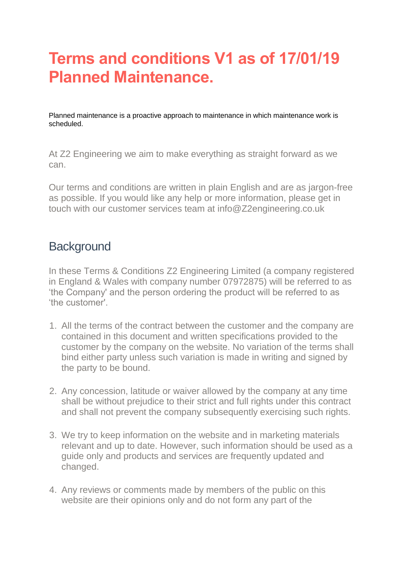# **Terms and conditions V1 as of 17/01/19 Planned Maintenance.**

Planned maintenance is a proactive approach to maintenance in which maintenance work is scheduled.

At Z2 Engineering we aim to make everything as straight forward as we can.

Our terms and conditions are written in plain English and are as jargon-free as possible. If you would like any help or more information, please get in touch with our customer services team at info@Z2engineering.co.uk

# **Background**

In these Terms & Conditions Z2 Engineering Limited (a company registered in England & Wales with company number 07972875) will be referred to as 'the Company' and the person ordering the product will be referred to as 'the customer'.

- 1. All the terms of the contract between the customer and the company are contained in this document and written specifications provided to the customer by the company on the website. No variation of the terms shall bind either party unless such variation is made in writing and signed by the party to be bound.
- 2. Any concession, latitude or waiver allowed by the company at any time shall be without prejudice to their strict and full rights under this contract and shall not prevent the company subsequently exercising such rights.
- 3. We try to keep information on the website and in marketing materials relevant and up to date. However, such information should be used as a guide only and products and services are frequently updated and changed.
- 4. Any reviews or comments made by members of the public on this website are their opinions only and do not form any part of the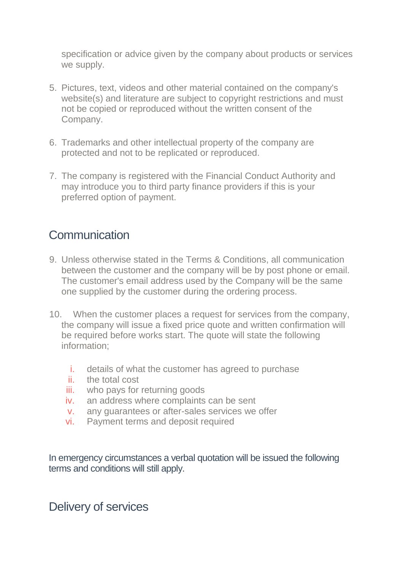specification or advice given by the company about products or services we supply.

- 5. Pictures, text, videos and other material contained on the company's website(s) and literature are subject to copyright restrictions and must not be copied or reproduced without the written consent of the Company.
- 6. Trademarks and other intellectual property of the company are protected and not to be replicated or reproduced.
- 7. The company is registered with the Financial Conduct Authority and may introduce you to third party finance providers if this is your preferred option of payment.

#### **Communication**

- 9. Unless otherwise stated in the Terms & Conditions, all communication between the customer and the company will be by post phone or email. The customer's email address used by the Company will be the same one supplied by the customer during the ordering process.
- 10. When the customer places a request for services from the company, the company will issue a fixed price quote and written confirmation will be required before works start. The quote will state the following information;
	- i. details of what the customer has agreed to purchase
	- ii. the total cost
	- iii. who pays for returning goods
	- iv. an address where complaints can be sent
	- v. any guarantees or after-sales services we offer
	- vi. Payment terms and deposit required

In emergency circumstances a verbal quotation will be issued the following terms and conditions will still apply.

#### Delivery of services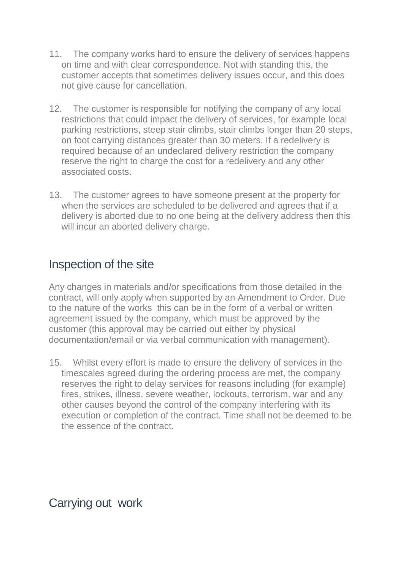- 11. The company works hard to ensure the delivery of services happens on time and with clear correspondence. Not with standing this, the customer accepts that sometimes delivery issues occur, and this does not give cause for cancellation.
- 12. The customer is responsible for notifying the company of any local restrictions that could impact the delivery of services, for example local parking restrictions, steep stair climbs, stair climbs longer than 20 steps, on foot carrying distances greater than 30 meters. If a redelivery is required because of an undeclared delivery restriction the company reserve the right to charge the cost for a redelivery and any other associated costs.
- 13. The customer agrees to have someone present at the property for when the services are scheduled to be delivered and agrees that if a delivery is aborted due to no one being at the delivery address then this will incur an aborted delivery charge.

#### Inspection of the site

Any changes in materials and/or specifications from those detailed in the contract, will only apply when supported by an Amendment to Order. Due to the nature of the works this can be in the form of a verbal or written agreement issued by the company, which must be approved by the customer (this approval may be carried out either by physical documentation/email or via verbal communication with management).

15. Whilst every effort is made to ensure the delivery of services in the timescales agreed during the ordering process are met, the company reserves the right to delay services for reasons including (for example) fires, strikes, illness, severe weather, lockouts, terrorism, war and any other causes beyond the control of the company interfering with its execution or completion of the contract. Time shall not be deemed to be the essence of the contract.

Carrying out work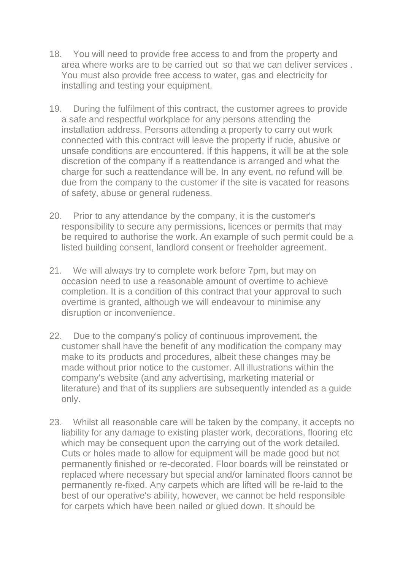- 18. You will need to provide free access to and from the property and area where works are to be carried out so that we can deliver services . You must also provide free access to water, gas and electricity for installing and testing your equipment.
- 19. During the fulfilment of this contract, the customer agrees to provide a safe and respectful workplace for any persons attending the installation address. Persons attending a property to carry out work connected with this contract will leave the property if rude, abusive or unsafe conditions are encountered. If this happens, it will be at the sole discretion of the company if a reattendance is arranged and what the charge for such a reattendance will be. In any event, no refund will be due from the company to the customer if the site is vacated for reasons of safety, abuse or general rudeness.
- 20. Prior to any attendance by the company, it is the customer's responsibility to secure any permissions, licences or permits that may be required to authorise the work. An example of such permit could be a listed building consent, landlord consent or freeholder agreement.
- 21. We will always try to complete work before 7pm, but may on occasion need to use a reasonable amount of overtime to achieve completion. It is a condition of this contract that your approval to such overtime is granted, although we will endeavour to minimise any disruption or inconvenience.
- 22. Due to the company's policy of continuous improvement, the customer shall have the benefit of any modification the company may make to its products and procedures, albeit these changes may be made without prior notice to the customer. All illustrations within the company's website (and any advertising, marketing material or literature) and that of its suppliers are subsequently intended as a guide only.
- 23. Whilst all reasonable care will be taken by the company, it accepts no liability for any damage to existing plaster work, decorations, flooring etc which may be consequent upon the carrying out of the work detailed. Cuts or holes made to allow for equipment will be made good but not permanently finished or re-decorated. Floor boards will be reinstated or replaced where necessary but special and/or laminated floors cannot be permanently re-fixed. Any carpets which are lifted will be re-laid to the best of our operative's ability, however, we cannot be held responsible for carpets which have been nailed or glued down. It should be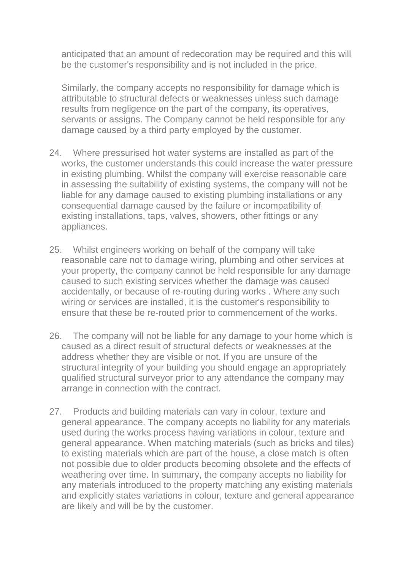anticipated that an amount of redecoration may be required and this will be the customer's responsibility and is not included in the price.

Similarly, the company accepts no responsibility for damage which is attributable to structural defects or weaknesses unless such damage results from negligence on the part of the company, its operatives, servants or assigns. The Company cannot be held responsible for any damage caused by a third party employed by the customer.

- 24. Where pressurised hot water systems are installed as part of the works, the customer understands this could increase the water pressure in existing plumbing. Whilst the company will exercise reasonable care in assessing the suitability of existing systems, the company will not be liable for any damage caused to existing plumbing installations or any consequential damage caused by the failure or incompatibility of existing installations, taps, valves, showers, other fittings or any appliances.
- 25. Whilst engineers working on behalf of the company will take reasonable care not to damage wiring, plumbing and other services at your property, the company cannot be held responsible for any damage caused to such existing services whether the damage was caused accidentally, or because of re-routing during works . Where any such wiring or services are installed, it is the customer's responsibility to ensure that these be re-routed prior to commencement of the works.
- 26. The company will not be liable for any damage to your home which is caused as a direct result of structural defects or weaknesses at the address whether they are visible or not. If you are unsure of the structural integrity of your building you should engage an appropriately qualified structural surveyor prior to any attendance the company may arrange in connection with the contract.
- 27. Products and building materials can vary in colour, texture and general appearance. The company accepts no liability for any materials used during the works process having variations in colour, texture and general appearance. When matching materials (such as bricks and tiles) to existing materials which are part of the house, a close match is often not possible due to older products becoming obsolete and the effects of weathering over time. In summary, the company accepts no liability for any materials introduced to the property matching any existing materials and explicitly states variations in colour, texture and general appearance are likely and will be by the customer.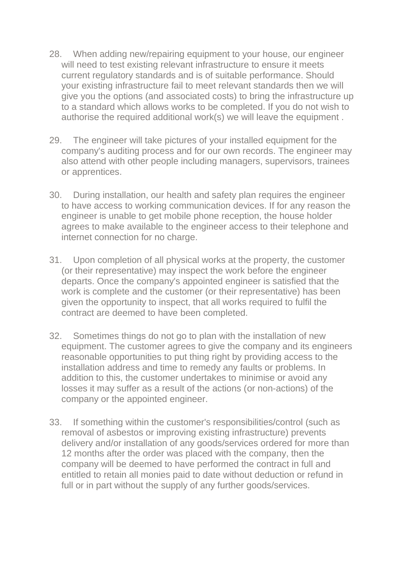- 28. When adding new/repairing equipment to your house, our engineer will need to test existing relevant infrastructure to ensure it meets current regulatory standards and is of suitable performance. Should your existing infrastructure fail to meet relevant standards then we will give you the options (and associated costs) to bring the infrastructure up to a standard which allows works to be completed. If you do not wish to authorise the required additional work(s) we will leave the equipment .
- 29. The engineer will take pictures of your installed equipment for the company's auditing process and for our own records. The engineer may also attend with other people including managers, supervisors, trainees or apprentices.
- 30. During installation, our health and safety plan requires the engineer to have access to working communication devices. If for any reason the engineer is unable to get mobile phone reception, the house holder agrees to make available to the engineer access to their telephone and internet connection for no charge.
- 31. Upon completion of all physical works at the property, the customer (or their representative) may inspect the work before the engineer departs. Once the company's appointed engineer is satisfied that the work is complete and the customer (or their representative) has been given the opportunity to inspect, that all works required to fulfil the contract are deemed to have been completed.
- 32. Sometimes things do not go to plan with the installation of new equipment. The customer agrees to give the company and its engineers reasonable opportunities to put thing right by providing access to the installation address and time to remedy any faults or problems. In addition to this, the customer undertakes to minimise or avoid any losses it may suffer as a result of the actions (or non-actions) of the company or the appointed engineer.
- 33. If something within the customer's responsibilities/control (such as removal of asbestos or improving existing infrastructure) prevents delivery and/or installation of any goods/services ordered for more than 12 months after the order was placed with the company, then the company will be deemed to have performed the contract in full and entitled to retain all monies paid to date without deduction or refund in full or in part without the supply of any further goods/services.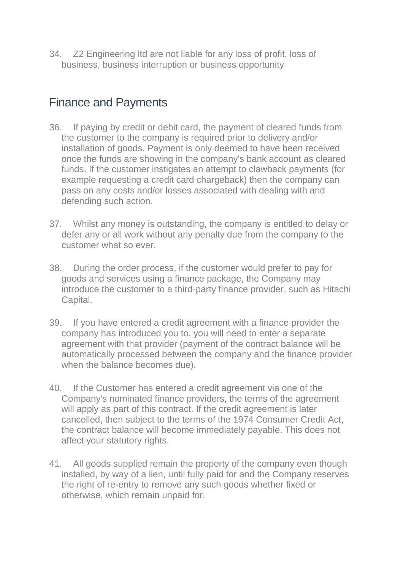34. Z2 Engineering ltd are not liable for any loss of profit, loss of business, business interruption or business opportunity

# Finance and Payments

- 36. If paying by credit or debit card, the payment of cleared funds from the customer to the company is required prior to delivery and/or installation of goods. Payment is only deemed to have been received once the funds are showing in the company's bank account as cleared funds. If the customer instigates an attempt to clawback payments (for example requesting a credit card chargeback) then the company can pass on any costs and/or losses associated with dealing with and defending such action.
- 37. Whilst any money is outstanding, the company is entitled to delay or defer any or all work without any penalty due from the company to the customer what so ever.
- 38. During the order process, if the customer would prefer to pay for goods and services using a finance package, the Company may introduce the customer to a third-party finance provider, such as Hitachi Capital.
- 39. If you have entered a credit agreement with a finance provider the company has introduced you to, you will need to enter a separate agreement with that provider (payment of the contract balance will be automatically processed between the company and the finance provider when the balance becomes due).
- 40. If the Customer has entered a credit agreement via one of the Company's nominated finance providers, the terms of the agreement will apply as part of this contract. If the credit agreement is later cancelled, then subject to the terms of the 1974 Consumer Credit Act, the contract balance will become immediately payable. This does not affect your statutory rights.
- 41. All goods supplied remain the property of the company even though installed, by way of a lien, until fully paid for and the Company reserves the right of re-entry to remove any such goods whether fixed or otherwise, which remain unpaid for.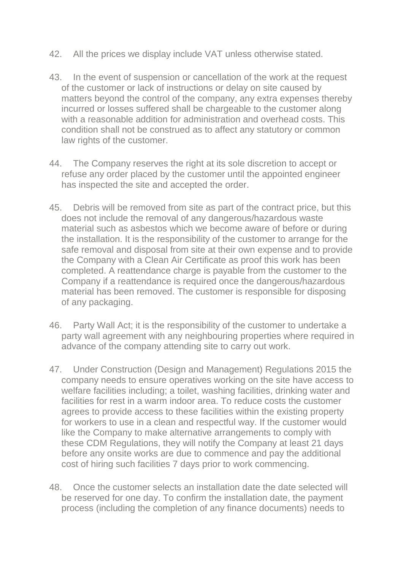- 42. All the prices we display include VAT unless otherwise stated.
- 43. In the event of suspension or cancellation of the work at the request of the customer or lack of instructions or delay on site caused by matters beyond the control of the company, any extra expenses thereby incurred or losses suffered shall be chargeable to the customer along with a reasonable addition for administration and overhead costs. This condition shall not be construed as to affect any statutory or common law rights of the customer.
- 44. The Company reserves the right at its sole discretion to accept or refuse any order placed by the customer until the appointed engineer has inspected the site and accepted the order.
- 45. Debris will be removed from site as part of the contract price, but this does not include the removal of any dangerous/hazardous waste material such as asbestos which we become aware of before or during the installation. It is the responsibility of the customer to arrange for the safe removal and disposal from site at their own expense and to provide the Company with a Clean Air Certificate as proof this work has been completed. A reattendance charge is payable from the customer to the Company if a reattendance is required once the dangerous/hazardous material has been removed. The customer is responsible for disposing of any packaging.
- 46. Party Wall Act; it is the responsibility of the customer to undertake a party wall agreement with any neighbouring properties where required in advance of the company attending site to carry out work.
- 47. Under Construction (Design and Management) Regulations 2015 the company needs to ensure operatives working on the site have access to welfare facilities including; a toilet, washing facilities, drinking water and facilities for rest in a warm indoor area. To reduce costs the customer agrees to provide access to these facilities within the existing property for workers to use in a clean and respectful way. If the customer would like the Company to make alternative arrangements to comply with these CDM Regulations, they will notify the Company at least 21 days before any onsite works are due to commence and pay the additional cost of hiring such facilities 7 days prior to work commencing.
- 48. Once the customer selects an installation date the date selected will be reserved for one day. To confirm the installation date, the payment process (including the completion of any finance documents) needs to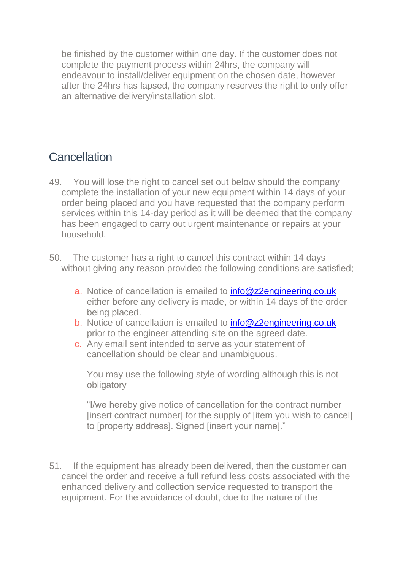be finished by the customer within one day. If the customer does not complete the payment process within 24hrs, the company will endeavour to install/deliver equipment on the chosen date, however after the 24hrs has lapsed, the company reserves the right to only offer an alternative delivery/installation slot.

# **Cancellation**

- 49. You will lose the right to cancel set out below should the company complete the installation of your new equipment within 14 days of your order being placed and you have requested that the company perform services within this 14-day period as it will be deemed that the company has been engaged to carry out urgent maintenance or repairs at your household.
- 50. The customer has a right to cancel this contract within 14 days without giving any reason provided the following conditions are satisfied;
	- a. Notice of cancellation is emailed to [info@z2engineering.co.uk](mailto:info@z2engineering.co.uk) either before any delivery is made, or within 14 days of the order being placed.
	- b. Notice of cancellation is emailed to **[info@z2engineering.co.uk](mailto:info@z2engineering.co.uk)** prior to the engineer attending site on the agreed date.
	- c. Any email sent intended to serve as your statement of cancellation should be clear and unambiguous.

You may use the following style of wording although this is not obligatory

"I/we hereby give notice of cancellation for the contract number [insert contract number] for the supply of [item you wish to cancel] to [property address]. Signed [insert your name]."

51. If the equipment has already been delivered, then the customer can cancel the order and receive a full refund less costs associated with the enhanced delivery and collection service requested to transport the equipment. For the avoidance of doubt, due to the nature of the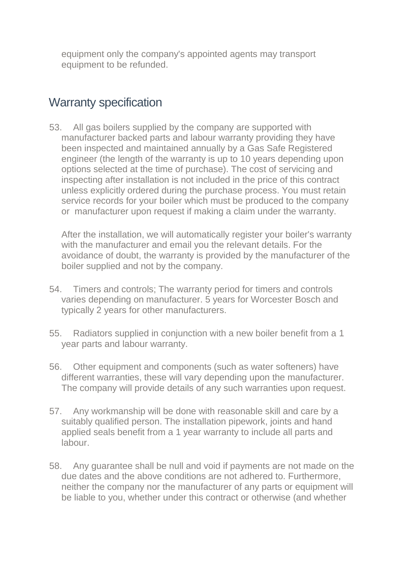equipment only the company's appointed agents may transport equipment to be refunded.

### Warranty specification

53. All gas boilers supplied by the company are supported with manufacturer backed parts and labour warranty providing they have been inspected and maintained annually by a Gas Safe Registered engineer (the length of the warranty is up to 10 years depending upon options selected at the time of purchase). The cost of servicing and inspecting after installation is not included in the price of this contract unless explicitly ordered during the purchase process. You must retain service records for your boiler which must be produced to the company or manufacturer upon request if making a claim under the warranty.

After the installation, we will automatically register your boiler's warranty with the manufacturer and email you the relevant details. For the avoidance of doubt, the warranty is provided by the manufacturer of the boiler supplied and not by the company.

- 54. Timers and controls; The warranty period for timers and controls varies depending on manufacturer. 5 years for Worcester Bosch and typically 2 years for other manufacturers.
- 55. Radiators supplied in conjunction with a new boiler benefit from a 1 year parts and labour warranty.
- 56. Other equipment and components (such as water softeners) have different warranties, these will vary depending upon the manufacturer. The company will provide details of any such warranties upon request.
- 57. Any workmanship will be done with reasonable skill and care by a suitably qualified person. The installation pipework, joints and hand applied seals benefit from a 1 year warranty to include all parts and labour.
- 58. Any guarantee shall be null and void if payments are not made on the due dates and the above conditions are not adhered to. Furthermore, neither the company nor the manufacturer of any parts or equipment will be liable to you, whether under this contract or otherwise (and whether